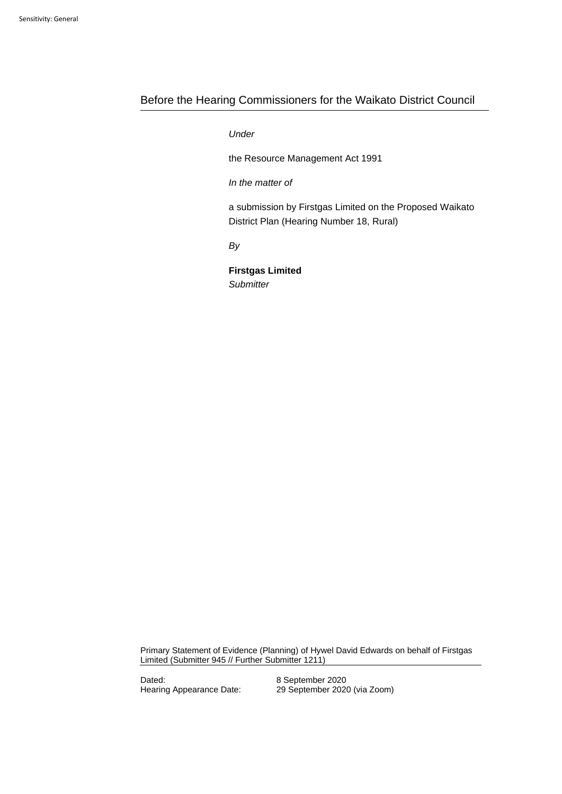# Before the Hearing Commissioners for the Waikato District Council

# *:Under*

the Resource Management Act 1991

*f: In the matter of* 

a submission by Firstgas Limited on the Proposed Waikato District Plan (Hearing Number 18, Rural)

*By*

**Firstgas Limited** *Submitter*

Primary Statement of Evidence (Planning) of Hywel David Edwards on behalf of Firstgas Limited (Submitter 945 // Further Submitter 1211)

Dated: 8 September 2020

Hearing Appearance Date: 29 September 2020 (via Zoom)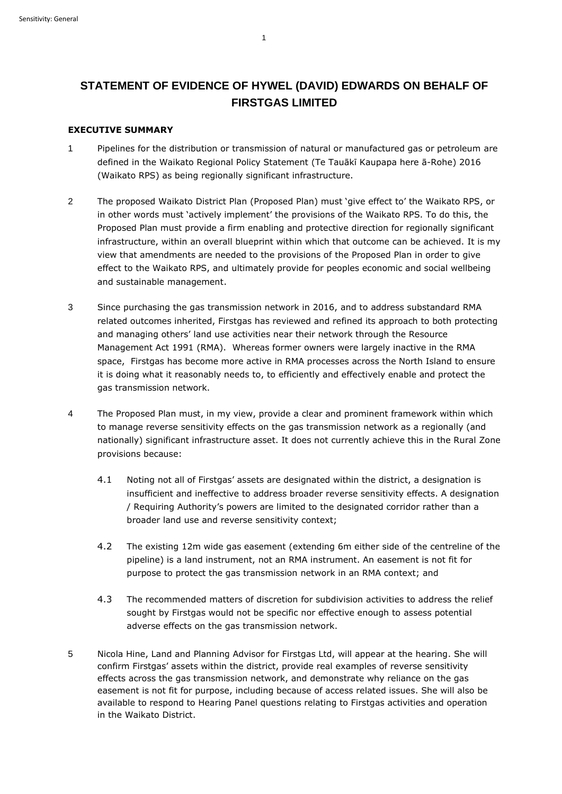# **STATEMENT OF EVIDENCE OF HYWEL (DAVID) EDWARDS ON BEHALF OF FIRSTGAS LIMITED**

## **EXECUTIVE SUMMARY**

- 1 Pipelines for the distribution or transmission of natural or manufactured gas or petroleum are defined in the Waikato Regional Policy Statement (Te Tauākī Kaupapa here ā-Rohe) 2016 (Waikato RPS) as being regionally significant infrastructure.
- 2 The proposed Waikato District Plan (Proposed Plan) must 'give effect to' the Waikato RPS, or in other words must 'actively implement' the provisions of the Waikato RPS. To do this, the Proposed Plan must provide a firm enabling and protective direction for regionally significant infrastructure, within an overall blueprint within which that outcome can be achieved. It is my view that amendments are needed to the provisions of the Proposed Plan in order to give effect to the Waikato RPS, and ultimately provide for peoples economic and social wellbeing and sustainable management.
- 3 Since purchasing the gas transmission network in 2016, and to address substandard RMA related outcomes inherited, Firstgas has reviewed and refined its approach to both protecting and managing others' land use activities near their network through the Resource Management Act 1991 (RMA). Whereas former owners were largely inactive in the RMA space, Firstgas has become more active in RMA processes across the North Island to ensure it is doing what it reasonably needs to, to efficiently and effectively enable and protect the gas transmission network.
- 4 The Proposed Plan must, in my view, provide a clear and prominent framework within which to manage reverse sensitivity effects on the gas transmission network as a regionally (and nationally) significant infrastructure asset. It does not currently achieve this in the Rural Zone provisions because:
	- 4.1 Noting not all of Firstgas' assets are designated within the district, a designation is insufficient and ineffective to address broader reverse sensitivity effects. A designation / Requiring Authority's powers are limited to the designated corridor rather than a broader land use and reverse sensitivity context;
	- 4.2 The existing 12m wide gas easement (extending 6m either side of the centreline of the pipeline) is a land instrument, not an RMA instrument. An easement is not fit for purpose to protect the gas transmission network in an RMA context; and
	- 4.3 The recommended matters of discretion for subdivision activities to address the relief sought by Firstgas would not be specific nor effective enough to assess potential adverse effects on the gas transmission network.
- 5 Nicola Hine, Land and Planning Advisor for Firstgas Ltd, will appear at the hearing. She will confirm Firstgas' assets within the district, provide real examples of reverse sensitivity effects across the gas transmission network, and demonstrate why reliance on the gas easement is not fit for purpose, including because of access related issues. She will also be available to respond to Hearing Panel questions relating to Firstgas activities and operation in the Waikato District.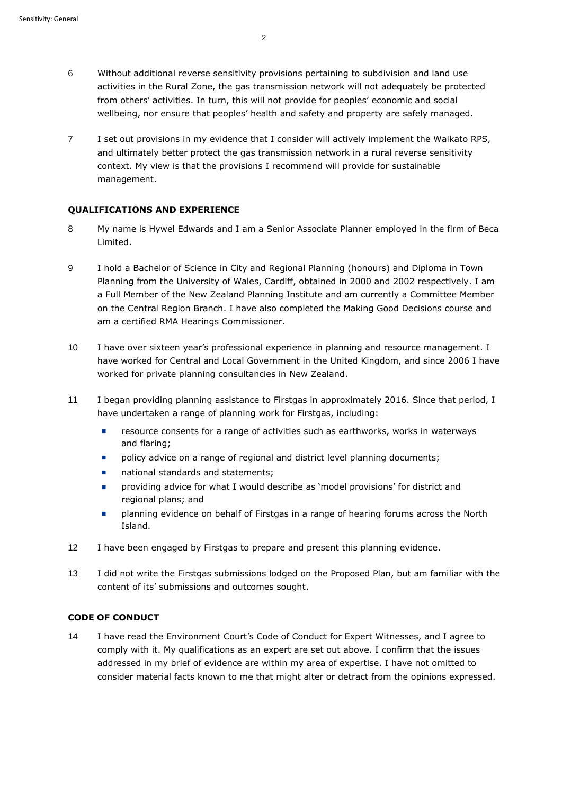- 6 Without additional reverse sensitivity provisions pertaining to subdivision and land use activities in the Rural Zone, the gas transmission network will not adequately be protected from others' activities. In turn, this will not provide for peoples' economic and social wellbeing, nor ensure that peoples' health and safety and property are safely managed.
- 7 I set out provisions in my evidence that I consider will actively implement the Waikato RPS, and ultimately better protect the gas transmission network in a rural reverse sensitivity context. My view is that the provisions I recommend will provide for sustainable management.

#### **QUALIFICATIONS AND EXPERIENCE**

- 8 My name is Hywel Edwards and I am a Senior Associate Planner employed in the firm of Beca Limited.
- 9 I hold a Bachelor of Science in City and Regional Planning (honours) and Diploma in Town Planning from the University of Wales, Cardiff, obtained in 2000 and 2002 respectively. I am a Full Member of the New Zealand Planning Institute and am currently a Committee Member on the Central Region Branch. I have also completed the Making Good Decisions course and am a certified RMA Hearings Commissioner.
- 10 I have over sixteen year's professional experience in planning and resource management. I have worked for Central and Local Government in the United Kingdom, and since 2006 I have worked for private planning consultancies in New Zealand.
- 11 I began providing planning assistance to Firstgas in approximately 2016. Since that period, I have undertaken a range of planning work for Firstgas, including:
	- resource consents for a range of activities such as earthworks, works in waterways and flaring;
	- policy advice on a range of regional and district level planning documents;
	- national standards and statements;
	- ◼ providing advice for what I would describe as 'model provisions' for district and regional plans; and
	- planning evidence on behalf of Firstgas in a range of hearing forums across the North Island.
- 12 I have been engaged by Firstgas to prepare and present this planning evidence.
- 13 I did not write the Firstgas submissions lodged on the Proposed Plan, but am familiar with the content of its' submissions and outcomes sought.

## **CODE OF CONDUCT**

14 I have read the Environment Court's Code of Conduct for Expert Witnesses, and I agree to comply with it. My qualifications as an expert are set out above. I confirm that the issues addressed in my brief of evidence are within my area of expertise. I have not omitted to consider material facts known to me that might alter or detract from the opinions expressed.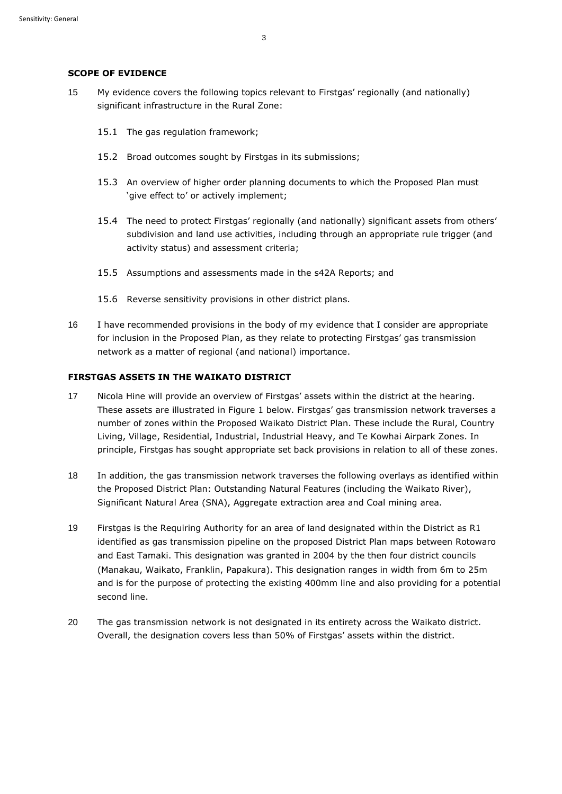#### **SCOPE OF EVIDENCE**

- 15 My evidence covers the following topics relevant to Firstgas' regionally (and nationally) significant infrastructure in the Rural Zone:
	- 15.1 The gas regulation framework;
	- 15.2 Broad outcomes sought by Firstgas in its submissions;
	- 15.3 An overview of higher order planning documents to which the Proposed Plan must 'give effect to' or actively implement;
	- 15.4 The need to protect Firstgas' regionally (and nationally) significant assets from others' subdivision and land use activities, including through an appropriate rule trigger (and activity status) and assessment criteria;
	- 15.5 Assumptions and assessments made in the s42A Reports; and
	- 15.6 Reverse sensitivity provisions in other district plans.
- 16 I have recommended provisions in the body of my evidence that I consider are appropriate for inclusion in the Proposed Plan, as they relate to protecting Firstgas' gas transmission network as a matter of regional (and national) importance.

## **FIRSTGAS ASSETS IN THE WAIKATO DISTRICT**

- 17 Nicola Hine will provide an overview of Firstgas' assets within the district at the hearing. These assets are illustrated in Figure 1 below. Firstgas' gas transmission network traverses a number of zones within the Proposed Waikato District Plan. These include the Rural, Country Living, Village, Residential, Industrial, Industrial Heavy, and Te Kowhai Airpark Zones. In principle, Firstgas has sought appropriate set back provisions in relation to all of these zones.
- 18 In addition, the gas transmission network traverses the following overlays as identified within the Proposed District Plan: Outstanding Natural Features (including the Waikato River), Significant Natural Area (SNA), Aggregate extraction area and Coal mining area.
- 19 Firstgas is the Requiring Authority for an area of land designated within the District as R1 identified as gas transmission pipeline on the proposed District Plan maps between Rotowaro and East Tamaki. This designation was granted in 2004 by the then four district councils (Manakau, Waikato, Franklin, Papakura). This designation ranges in width from 6m to 25m and is for the purpose of protecting the existing 400mm line and also providing for a potential second line.
- 20 The gas transmission network is not designated in its entirety across the Waikato district. Overall, the designation covers less than 50% of Firstgas' assets within the district.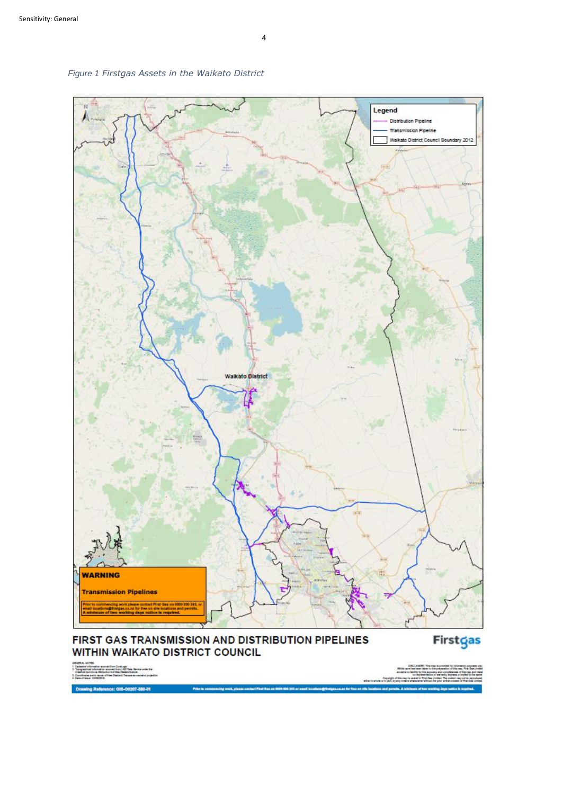

*Figure 1 Firstgas Assets in the Waikato District*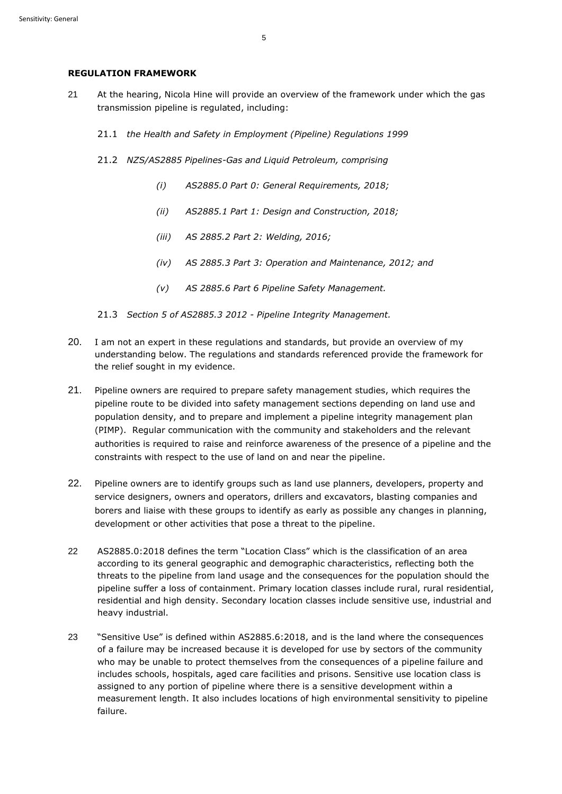#### **REGULATION FRAMEWORK**

- 21 At the hearing, Nicola Hine will provide an overview of the framework under which the gas transmission pipeline is regulated, including:
	- 21.1 *the Health and Safety in Employment (Pipeline) Regulations 1999*
	- 21.2 *NZS/AS2885 Pipelines-Gas and Liquid Petroleum, comprising* 
		- *(i) AS2885.0 Part 0: General Requirements, 2018;*
		- *(ii) AS2885.1 Part 1: Design and Construction, 2018;*
		- *(iii) AS 2885.2 Part 2: Welding, 2016;*
		- *(iv) AS 2885.3 Part 3: Operation and Maintenance, 2012; and*
		- *(v) AS 2885.6 Part 6 Pipeline Safety Management.*
	- 21.3 *Section 5 of AS2885.3 2012 - Pipeline Integrity Management.*
- 20. I am not an expert in these regulations and standards, but provide an overview of my understanding below. The regulations and standards referenced provide the framework for the relief sought in my evidence.
- 21. Pipeline owners are required to prepare safety management studies, which requires the pipeline route to be divided into safety management sections depending on land use and population density, and to prepare and implement a pipeline integrity management plan (PIMP). Regular communication with the community and stakeholders and the relevant authorities is required to raise and reinforce awareness of the presence of a pipeline and the constraints with respect to the use of land on and near the pipeline.
- 22. Pipeline owners are to identify groups such as land use planners, developers, property and service designers, owners and operators, drillers and excavators, blasting companies and borers and liaise with these groups to identify as early as possible any changes in planning, development or other activities that pose a threat to the pipeline.
- 22 AS2885.0:2018 defines the term "Location Class" which is the classification of an area according to its general geographic and demographic characteristics, reflecting both the threats to the pipeline from land usage and the consequences for the population should the pipeline suffer a loss of containment. Primary location classes include rural, rural residential, residential and high density. Secondary location classes include sensitive use, industrial and heavy industrial.
- 23 "Sensitive Use" is defined within AS2885.6:2018, and is the land where the consequences of a failure may be increased because it is developed for use by sectors of the community who may be unable to protect themselves from the consequences of a pipeline failure and includes schools, hospitals, aged care facilities and prisons. Sensitive use location class is assigned to any portion of pipeline where there is a sensitive development within a measurement length. It also includes locations of high environmental sensitivity to pipeline failure.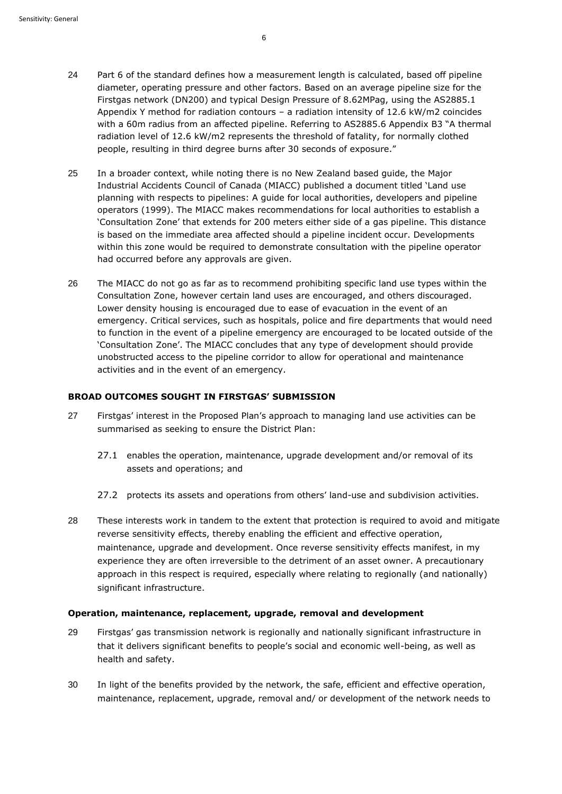- 24 Part 6 of the standard defines how a measurement length is calculated, based off pipeline diameter, operating pressure and other factors. Based on an average pipeline size for the Firstgas network (DN200) and typical Design Pressure of 8.62MPag, using the AS2885.1 Appendix Y method for radiation contours – a radiation intensity of 12.6 kW/m2 coincides with a 60m radius from an affected pipeline. Referring to AS2885.6 Appendix B3 "A thermal radiation level of 12.6 kW/m2 represents the threshold of fatality, for normally clothed people, resulting in third degree burns after 30 seconds of exposure."
- 25 In a broader context, while noting there is no New Zealand based guide, the Major Industrial Accidents Council of Canada (MIACC) published a document titled 'Land use planning with respects to pipelines: A guide for local authorities, developers and pipeline operators (1999). The MIACC makes recommendations for local authorities to establish a 'Consultation Zone' that extends for 200 meters either side of a gas pipeline. This distance is based on the immediate area affected should a pipeline incident occur. Developments within this zone would be required to demonstrate consultation with the pipeline operator had occurred before any approvals are given.
- 26 The MIACC do not go as far as to recommend prohibiting specific land use types within the Consultation Zone, however certain land uses are encouraged, and others discouraged. Lower density housing is encouraged due to ease of evacuation in the event of an emergency. Critical services, such as hospitals, police and fire departments that would need to function in the event of a pipeline emergency are encouraged to be located outside of the 'Consultation Zone'. The MIACC concludes that any type of development should provide unobstructed access to the pipeline corridor to allow for operational and maintenance activities and in the event of an emergency.

#### **BROAD OUTCOMES SOUGHT IN FIRSTGAS' SUBMISSION**

- 27 Firstgas' interest in the Proposed Plan's approach to managing land use activities can be summarised as seeking to ensure the District Plan:
	- 27.1 enables the operation, maintenance, upgrade development and/or removal of its assets and operations; and
	- 27.2 protects its assets and operations from others' land-use and subdivision activities.
- 28 These interests work in tandem to the extent that protection is required to avoid and mitigate reverse sensitivity effects, thereby enabling the efficient and effective operation, maintenance, upgrade and development. Once reverse sensitivity effects manifest, in my experience they are often irreversible to the detriment of an asset owner. A precautionary approach in this respect is required, especially where relating to regionally (and nationally) significant infrastructure.

#### **Operation, maintenance, replacement, upgrade, removal and development**

- 29 Firstgas' gas transmission network is regionally and nationally significant infrastructure in that it delivers significant benefits to people's social and economic well-being, as well as health and safety.
- 30 In light of the benefits provided by the network, the safe, efficient and effective operation, maintenance, replacement, upgrade, removal and/ or development of the network needs to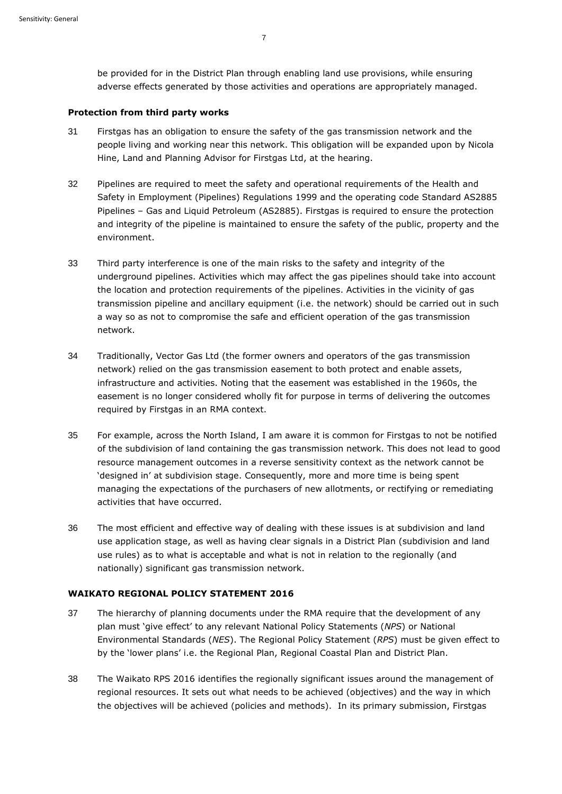be provided for in the District Plan through enabling land use provisions, while ensuring adverse effects generated by those activities and operations are appropriately managed.

#### **Protection from third party works**

- 31 Firstgas has an obligation to ensure the safety of the gas transmission network and the people living and working near this network. This obligation will be expanded upon by Nicola Hine, Land and Planning Advisor for Firstgas Ltd, at the hearing.
- 32 Pipelines are required to meet the safety and operational requirements of the Health and Safety in Employment (Pipelines) Regulations 1999 and the operating code Standard AS2885 Pipelines – Gas and Liquid Petroleum (AS2885). Firstgas is required to ensure the protection and integrity of the pipeline is maintained to ensure the safety of the public, property and the environment.
- 33 Third party interference is one of the main risks to the safety and integrity of the underground pipelines. Activities which may affect the gas pipelines should take into account the location and protection requirements of the pipelines. Activities in the vicinity of gas transmission pipeline and ancillary equipment (i.e. the network) should be carried out in such a way so as not to compromise the safe and efficient operation of the gas transmission network.
- 34 Traditionally, Vector Gas Ltd (the former owners and operators of the gas transmission network) relied on the gas transmission easement to both protect and enable assets, infrastructure and activities. Noting that the easement was established in the 1960s, the easement is no longer considered wholly fit for purpose in terms of delivering the outcomes required by Firstgas in an RMA context.
- 35 For example, across the North Island, I am aware it is common for Firstgas to not be notified of the subdivision of land containing the gas transmission network. This does not lead to good resource management outcomes in a reverse sensitivity context as the network cannot be 'designed in' at subdivision stage. Consequently, more and more time is being spent managing the expectations of the purchasers of new allotments, or rectifying or remediating activities that have occurred.
- 36 The most efficient and effective way of dealing with these issues is at subdivision and land use application stage, as well as having clear signals in a District Plan (subdivision and land use rules) as to what is acceptable and what is not in relation to the regionally (and nationally) significant gas transmission network.

## **WAIKATO REGIONAL POLICY STATEMENT 2016**

- 37 The hierarchy of planning documents under the RMA require that the development of any plan must 'give effect' to any relevant National Policy Statements (*NPS*) or National Environmental Standards (*NES*). The Regional Policy Statement (*RPS*) must be given effect to by the 'lower plans' i.e. the Regional Plan, Regional Coastal Plan and District Plan.
- 38 The Waikato RPS 2016 identifies the regionally significant issues around the management of regional resources. It sets out what needs to be achieved (objectives) and the way in which the objectives will be achieved (policies and methods). In its primary submission, Firstgas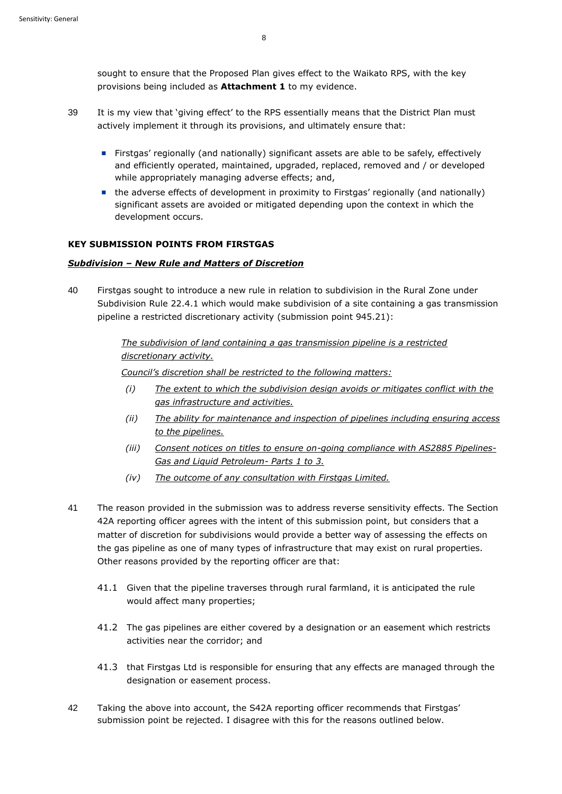sought to ensure that the Proposed Plan gives effect to the Waikato RPS, with the key provisions being included as **Attachment 1** to my evidence.

- 39 It is my view that 'giving effect' to the RPS essentially means that the District Plan must actively implement it through its provisions, and ultimately ensure that:
	- Firstgas' regionally (and nationally) significant assets are able to be safely, effectively and efficiently operated, maintained, upgraded, replaced, removed and / or developed while appropriately managing adverse effects; and,
	- the adverse effects of development in proximity to Firstgas' regionally (and nationally) significant assets are avoided or mitigated depending upon the context in which the development occurs.

## **KEY SUBMISSION POINTS FROM FIRSTGAS**

### *Subdivision – New Rule and Matters of Discretion*

40 Firstgas sought to introduce a new rule in relation to subdivision in the Rural Zone under Subdivision Rule 22.4.1 which would make subdivision of a site containing a gas transmission pipeline a restricted discretionary activity (submission point 945.21):

> *The subdivision of land containing a gas transmission pipeline is a restricted discretionary activity.*

*Council's discretion shall be restricted to the following matters:*

- *(i) The extent to which the subdivision design avoids or mitigates conflict with the gas infrastructure and activities.*
- *(ii) The ability for maintenance and inspection of pipelines including ensuring access to the pipelines.*
- *(iii) Consent notices on titles to ensure on-going compliance with AS2885 Pipelines-Gas and Liquid Petroleum- Parts 1 to 3.*
- *(iv) The outcome of any consultation with Firstgas Limited.*
- 41 The reason provided in the submission was to address reverse sensitivity effects. The Section 42A reporting officer agrees with the intent of this submission point, but considers that a matter of discretion for subdivisions would provide a better way of assessing the effects on the gas pipeline as one of many types of infrastructure that may exist on rural properties. Other reasons provided by the reporting officer are that:
	- 41.1 Given that the pipeline traverses through rural farmland, it is anticipated the rule would affect many properties;
	- 41.2 The gas pipelines are either covered by a designation or an easement which restricts activities near the corridor; and
	- 41.3 that Firstgas Ltd is responsible for ensuring that any effects are managed through the designation or easement process.
- 42 Taking the above into account, the S42A reporting officer recommends that Firstgas' submission point be rejected. I disagree with this for the reasons outlined below.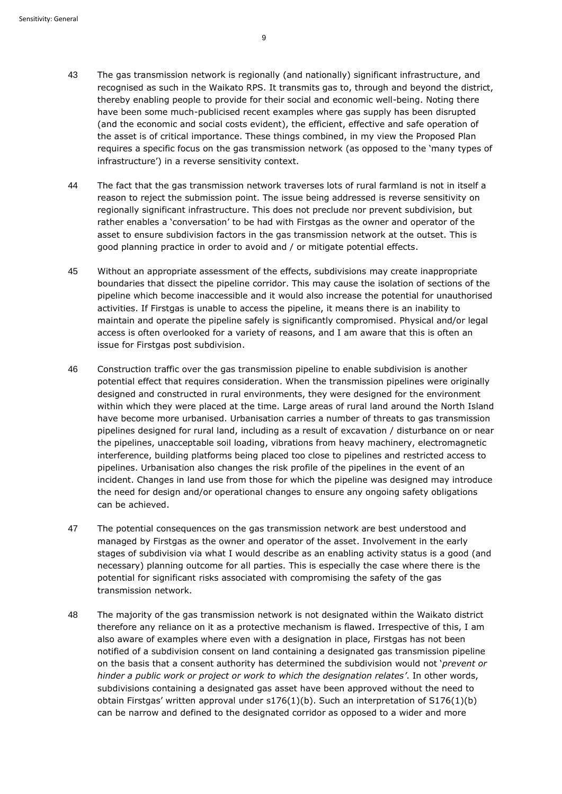- 43 The gas transmission network is regionally (and nationally) significant infrastructure, and recognised as such in the Waikato RPS. It transmits gas to, through and beyond the district, thereby enabling people to provide for their social and economic well-being. Noting there have been some much-publicised recent examples where gas supply has been disrupted (and the economic and social costs evident), the efficient, effective and safe operation of the asset is of critical importance. These things combined, in my view the Proposed Plan requires a specific focus on the gas transmission network (as opposed to the 'many types of infrastructure') in a reverse sensitivity context.
- 44 The fact that the gas transmission network traverses lots of rural farmland is not in itself a reason to reject the submission point. The issue being addressed is reverse sensitivity on regionally significant infrastructure. This does not preclude nor prevent subdivision, but rather enables a 'conversation' to be had with Firstgas as the owner and operator of the asset to ensure subdivision factors in the gas transmission network at the outset. This is good planning practice in order to avoid and / or mitigate potential effects.
- 45 Without an appropriate assessment of the effects, subdivisions may create inappropriate boundaries that dissect the pipeline corridor. This may cause the isolation of sections of the pipeline which become inaccessible and it would also increase the potential for unauthorised activities. If Firstgas is unable to access the pipeline, it means there is an inability to maintain and operate the pipeline safely is significantly compromised. Physical and/or legal access is often overlooked for a variety of reasons, and I am aware that this is often an issue for Firstgas post subdivision.
- 46 Construction traffic over the gas transmission pipeline to enable subdivision is another potential effect that requires consideration. When the transmission pipelines were originally designed and constructed in rural environments, they were designed for the environment within which they were placed at the time. Large areas of rural land around the North Island have become more urbanised. Urbanisation carries a number of threats to gas transmission pipelines designed for rural land, including as a result of excavation / disturbance on or near the pipelines, unacceptable soil loading, vibrations from heavy machinery, electromagnetic interference, building platforms being placed too close to pipelines and restricted access to pipelines. Urbanisation also changes the risk profile of the pipelines in the event of an incident. Changes in land use from those for which the pipeline was designed may introduce the need for design and/or operational changes to ensure any ongoing safety obligations can be achieved.
- 47 The potential consequences on the gas transmission network are best understood and managed by Firstgas as the owner and operator of the asset. Involvement in the early stages of subdivision via what I would describe as an enabling activity status is a good (and necessary) planning outcome for all parties. This is especially the case where there is the potential for significant risks associated with compromising the safety of the gas transmission network.
- 48 The majority of the gas transmission network is not designated within the Waikato district therefore any reliance on it as a protective mechanism is flawed. Irrespective of this, I am also aware of examples where even with a designation in place, Firstgas has not been notified of a subdivision consent on land containing a designated gas transmission pipeline on the basis that a consent authority has determined the subdivision would not '*prevent or hinder a public work or project or work to which the designation relates'*. In other words, subdivisions containing a designated gas asset have been approved without the need to obtain Firstgas' written approval under s176(1)(b). Such an interpretation of S176(1)(b) can be narrow and defined to the designated corridor as opposed to a wider and more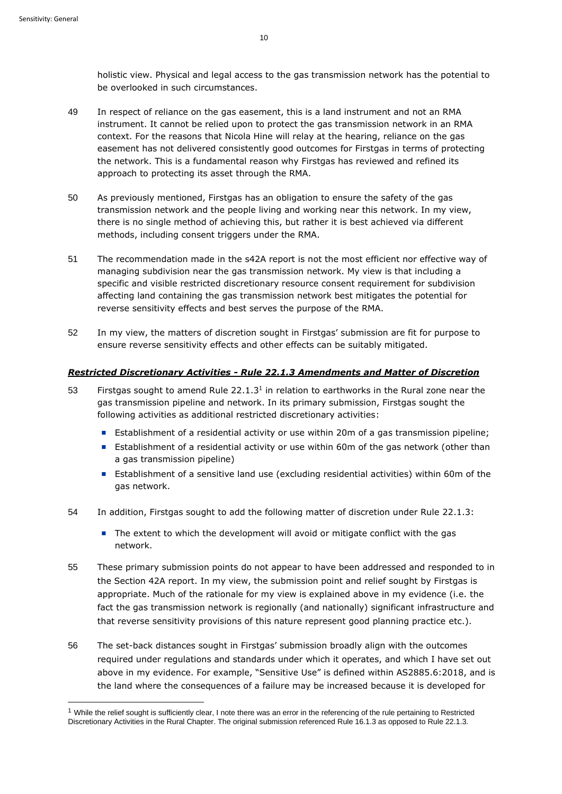holistic view. Physical and legal access to the gas transmission network has the potential to be overlooked in such circumstances.

- 49 In respect of reliance on the gas easement, this is a land instrument and not an RMA instrument. It cannot be relied upon to protect the gas transmission network in an RMA context. For the reasons that Nicola Hine will relay at the hearing, reliance on the gas easement has not delivered consistently good outcomes for Firstgas in terms of protecting the network. This is a fundamental reason why Firstgas has reviewed and refined its approach to protecting its asset through the RMA.
- 50 As previously mentioned, Firstgas has an obligation to ensure the safety of the gas transmission network and the people living and working near this network. In my view, there is no single method of achieving this, but rather it is best achieved via different methods, including consent triggers under the RMA.
- 51 The recommendation made in the s42A report is not the most efficient nor effective way of managing subdivision near the gas transmission network. My view is that including a specific and visible restricted discretionary resource consent requirement for subdivision affecting land containing the gas transmission network best mitigates the potential for reverse sensitivity effects and best serves the purpose of the RMA.
- 52 In my view, the matters of discretion sought in Firstgas' submission are fit for purpose to ensure reverse sensitivity effects and other effects can be suitably mitigated.

#### *Restricted Discretionary Activities - Rule 22.1.3 Amendments and Matter of Discretion*

- 53 Firstgas sought to amend Rule  $22.1.3<sup>1</sup>$  in relation to earthworks in the Rural zone near the gas transmission pipeline and network. In its primary submission, Firstgas sought the following activities as additional restricted discretionary activities:
	- Establishment of a residential activity or use within 20m of a gas transmission pipeline;
	- Establishment of a residential activity or use within 60m of the gas network (other than a gas transmission pipeline)
	- Establishment of a sensitive land use (excluding residential activities) within 60m of the gas network.
- 54 In addition, Firstgas sought to add the following matter of discretion under Rule 22.1.3:
	- The extent to which the development will avoid or mitigate conflict with the gas network.
- 55 These primary submission points do not appear to have been addressed and responded to in the Section 42A report. In my view, the submission point and relief sought by Firstgas is appropriate. Much of the rationale for my view is explained above in my evidence (i.e. the fact the gas transmission network is regionally (and nationally) significant infrastructure and that reverse sensitivity provisions of this nature represent good planning practice etc.).
- 56 The set-back distances sought in Firstgas' submission broadly align with the outcomes required under regulations and standards under which it operates, and which I have set out above in my evidence. For example, "Sensitive Use" is defined within AS2885.6:2018, and is the land where the consequences of a failure may be increased because it is developed for

 $1$  While the relief sought is sufficiently clear, I note there was an error in the referencing of the rule pertaining to Restricted Discretionary Activities in the Rural Chapter. The original submission referenced Rule 16.1.3 as opposed to Rule 22.1.3.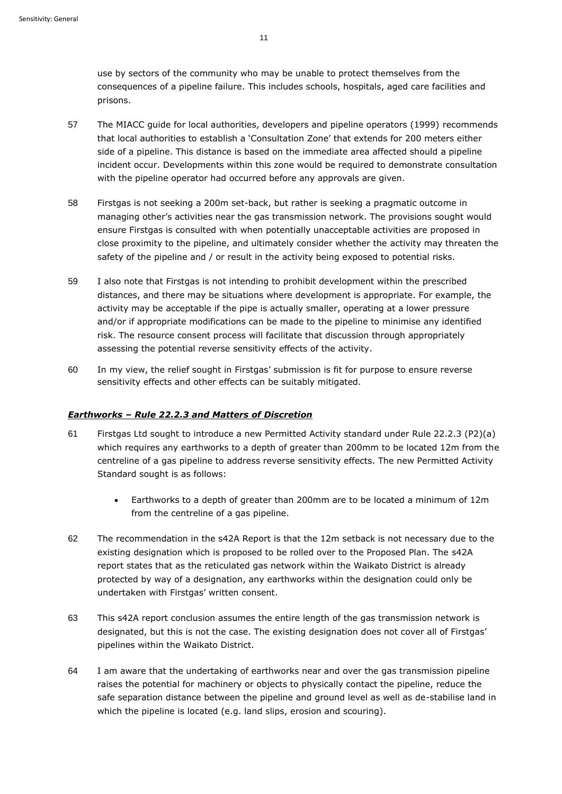use by sectors of the community who may be unable to protect themselves from the consequences of a pipeline failure. This includes schools, hospitals, aged care facilities and prisons.

- 57 The MIACC guide for local authorities, developers and pipeline operators (1999) recommends that local authorities to establish a 'Consultation Zone' that extends for 200 meters either side of a pipeline. This distance is based on the immediate area affected should a pipeline incident occur. Developments within this zone would be required to demonstrate consultation with the pipeline operator had occurred before any approvals are given.
- 58 Firstgas is not seeking a 200m set-back, but rather is seeking a pragmatic outcome in managing other's activities near the gas transmission network. The provisions sought would ensure Firstgas is consulted with when potentially unacceptable activities are proposed in close proximity to the pipeline, and ultimately consider whether the activity may threaten the safety of the pipeline and / or result in the activity being exposed to potential risks.
- 59 I also note that Firstgas is not intending to prohibit development within the prescribed distances, and there may be situations where development is appropriate. For example, the activity may be acceptable if the pipe is actually smaller, operating at a lower pressure and/or if appropriate modifications can be made to the pipeline to minimise any identified risk. The resource consent process will facilitate that discussion through appropriately assessing the potential reverse sensitivity effects of the activity.
- 60 In my view, the relief sought in Firstgas' submission is fit for purpose to ensure reverse sensitivity effects and other effects can be suitably mitigated.

#### *Earthworks – Rule 22.2.3 and Matters of Discretion*

- 61 Firstgas Ltd sought to introduce a new Permitted Activity standard under Rule 22.2.3 (P2)(a) which requires any earthworks to a depth of greater than 200mm to be located 12m from the centreline of a gas pipeline to address reverse sensitivity effects. The new Permitted Activity Standard sought is as follows:
	- Earthworks to a depth of greater than 200mm are to be located a minimum of 12m from the centreline of a gas pipeline.
- 62 The recommendation in the s42A Report is that the 12m setback is not necessary due to the existing designation which is proposed to be rolled over to the Proposed Plan. The s42A report states that as the reticulated gas network within the Waikato District is already protected by way of a designation, any earthworks within the designation could only be undertaken with Firstgas' written consent.
- 63 This s42A report conclusion assumes the entire length of the gas transmission network is designated, but this is not the case. The existing designation does not cover all of Firstgas' pipelines within the Waikato District.
- 64 I am aware that the undertaking of earthworks near and over the gas transmission pipeline raises the potential for machinery or objects to physically contact the pipeline, reduce the safe separation distance between the pipeline and ground level as well as de-stabilise land in which the pipeline is located (e.g. land slips, erosion and scouring).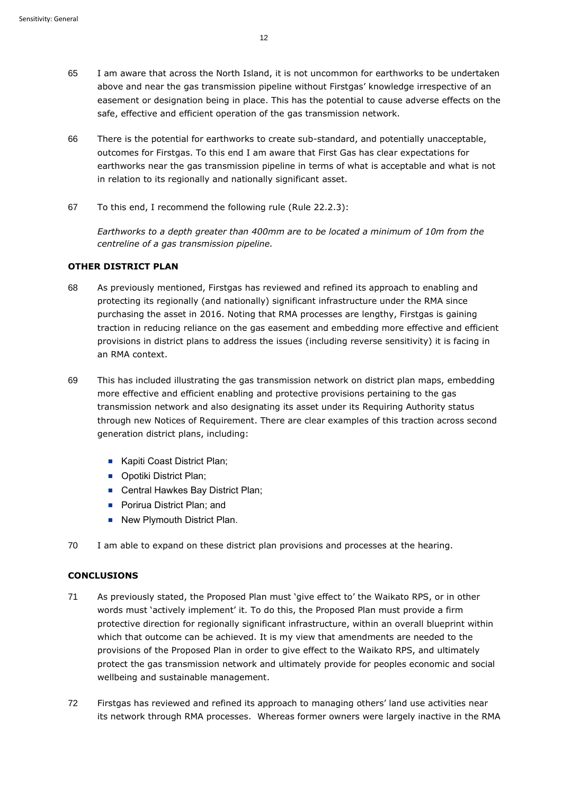- 65 I am aware that across the North Island, it is not uncommon for earthworks to be undertaken above and near the gas transmission pipeline without Firstgas' knowledge irrespective of an easement or designation being in place. This has the potential to cause adverse effects on the safe, effective and efficient operation of the gas transmission network.
- 66 There is the potential for earthworks to create sub-standard, and potentially unacceptable, outcomes for Firstgas. To this end I am aware that First Gas has clear expectations for earthworks near the gas transmission pipeline in terms of what is acceptable and what is not in relation to its regionally and nationally significant asset.
- 67 To this end, I recommend the following rule (Rule 22.2.3):

*Earthworks to a depth greater than 400mm are to be located a minimum of 10m from the centreline of a gas transmission pipeline.*

# **OTHER DISTRICT PLAN**

- 68 As previously mentioned, Firstgas has reviewed and refined its approach to enabling and protecting its regionally (and nationally) significant infrastructure under the RMA since purchasing the asset in 2016. Noting that RMA processes are lengthy, Firstgas is gaining traction in reducing reliance on the gas easement and embedding more effective and efficient provisions in district plans to address the issues (including reverse sensitivity) it is facing in an RMA context.
- 69 This has included illustrating the gas transmission network on district plan maps, embedding more effective and efficient enabling and protective provisions pertaining to the gas transmission network and also designating its asset under its Requiring Authority status through new Notices of Requirement. There are clear examples of this traction across second generation district plans, including:
	- Kapiti Coast District Plan;
	- Opotiki District Plan;
	- Central Hawkes Bay District Plan;
	- Porirua District Plan; and
	- New Plymouth District Plan.
- 70 I am able to expand on these district plan provisions and processes at the hearing.

# **CONCLUSIONS**

- 71 As previously stated, the Proposed Plan must 'give effect to' the Waikato RPS, or in other words must 'actively implement' it. To do this, the Proposed Plan must provide a firm protective direction for regionally significant infrastructure, within an overall blueprint within which that outcome can be achieved. It is my view that amendments are needed to the provisions of the Proposed Plan in order to give effect to the Waikato RPS, and ultimately protect the gas transmission network and ultimately provide for peoples economic and social wellbeing and sustainable management.
- 72 Firstgas has reviewed and refined its approach to managing others' land use activities near its network through RMA processes. Whereas former owners were largely inactive in the RMA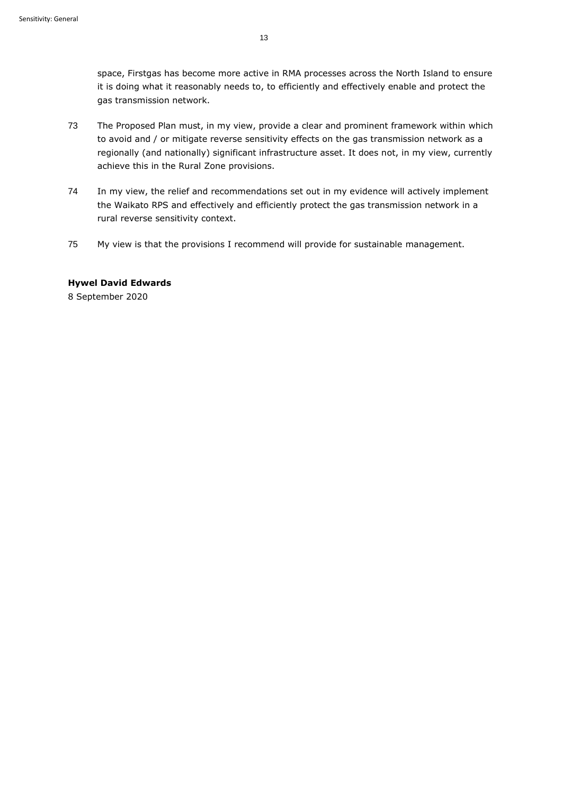space, Firstgas has become more active in RMA processes across the North Island to ensure it is doing what it reasonably needs to, to efficiently and effectively enable and protect the gas transmission network.

- 73 The Proposed Plan must, in my view, provide a clear and prominent framework within which to avoid and / or mitigate reverse sensitivity effects on the gas transmission network as a regionally (and nationally) significant infrastructure asset. It does not, in my view, currently achieve this in the Rural Zone provisions.
- 74 In my view, the relief and recommendations set out in my evidence will actively implement the Waikato RPS and effectively and efficiently protect the gas transmission network in a rural reverse sensitivity context.
- 75 My view is that the provisions I recommend will provide for sustainable management.

## **Hywel David Edwards**

8 September 2020